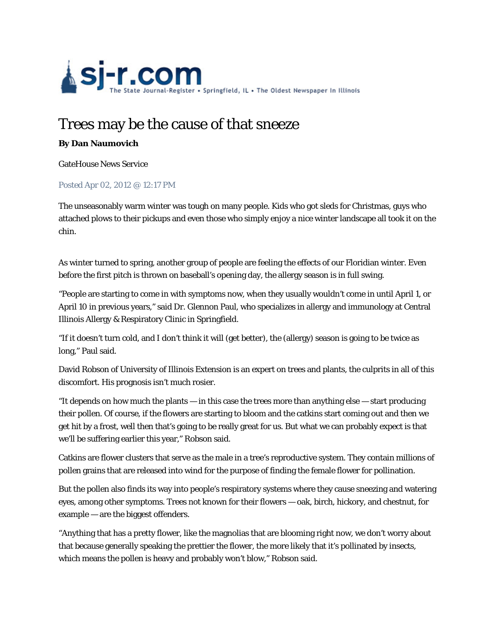

## Trees may be the cause of that sneeze

## **By Dan Naumovich**

GateHouse News Service

## Posted Apr 02, 2012 @ 12:17 PM

The unseasonably warm winter was tough on many people. Kids who got sleds for Christmas, guys who attached plows to their pickups and even those who simply enjoy a nice winter landscape all took it on the chin.

As winter turned to spring, another group of people are feeling the effects of our Floridian winter. Even before the first pitch is thrown on baseball's opening day, the allergy season is in full swing.

"People are starting to come in with symptoms now, when they usually wouldn't come in until April 1, or April 10 in previous years," said Dr. Glennon Paul, who specializes in allergy and immunology at Central Illinois Allergy & Respiratory Clinic in Springfield.

"If it doesn't turn cold, and I don't think it will (get better), the (allergy) season is going to be twice as long," Paul said.

David Robson of University of Illinois Extension is an expert on trees and plants, the culprits in all of this discomfort. His prognosis isn't much rosier.

"It depends on how much the plants — in this case the trees more than anything else — start producing their pollen. Of course, if the flowers are starting to bloom and the catkins start coming out and then we get hit by a frost, well then that's going to be really great for us. But what we can probably expect is that we'll be suffering earlier this year," Robson said.

Catkins are flower clusters that serve as the male in a tree's reproductive system. They contain millions of pollen grains that are released into wind for the purpose of finding the female flower for pollination.

But the pollen also finds its way into people's respiratory systems where they cause sneezing and watering eyes, among other symptoms. Trees not known for their flowers — oak, birch, hickory, and chestnut, for example — are the biggest offenders.

"Anything that has a pretty flower, like the magnolias that are blooming right now, we don't worry about that because generally speaking the prettier the flower, the more likely that it's pollinated by insects, which means the pollen is heavy and probably won't blow," Robson said.